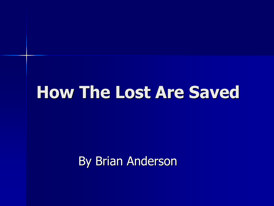By Brian Anderson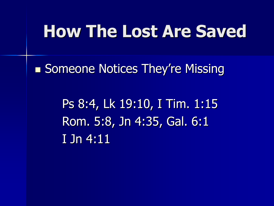■ Someone Notices They're Missing

Ps 8:4, Lk 19:10, I Tim. 1:15 Rom. 5:8, Jn 4:35, Gal. 6:1 I Jn 4:11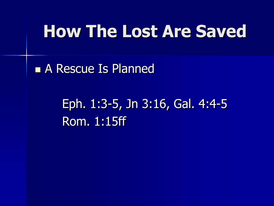■ A Rescue Is Planned

Eph. 1:3-5, Jn 3:16, Gal. 4:4-5 Rom. 1:15ff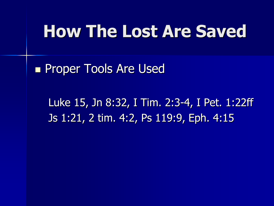■ Proper Tools Are Used

Luke 15, Jn 8:32, I Tim. 2:3-4, I Pet. 1:22ff Js 1:21, 2 tim. 4:2, Ps 119:9, Eph. 4:15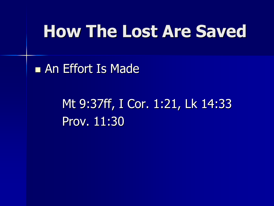■ An Effort Is Made

Mt 9:37ff, I Cor. 1:21, Lk 14:33 Prov. 11:30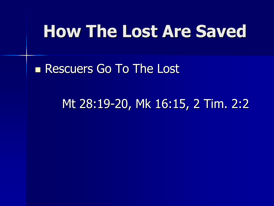■ Rescuers Go To The Lost

Mt 28:19-20, Mk 16:15, 2 Tim. 2:2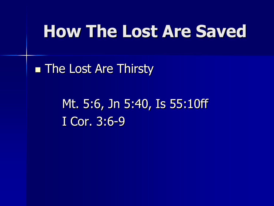**The Lost Are Thirsty** 

Mt. 5:6, Jn 5:40, Is 55:10ff I Cor. 3:6-9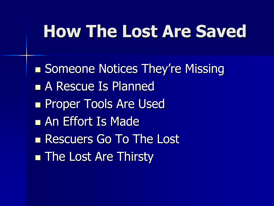■ Someone Notices They're Missing ■ A Rescue Is Planned ■ Proper Tools Are Used ■ An Effort Is Made ■ Rescuers Go To The Lost ■ The Lost Are Thirsty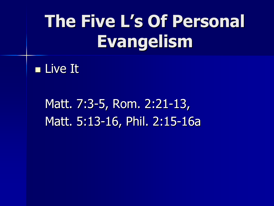#### ■ Live It

Matt. 7:3-5, Rom. 2:21-13, Matt. 5:13-16, Phil. 2:15-16a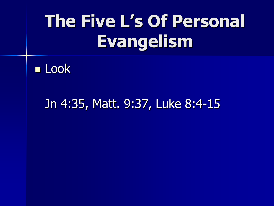

#### Jn 4:35, Matt. 9:37, Luke 8:4-15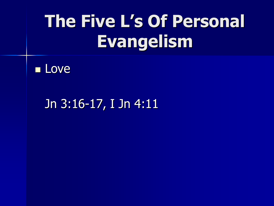

Jn 3:16-17, I Jn 4:11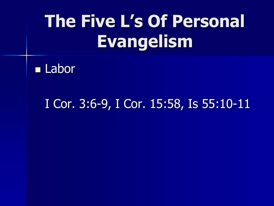

#### I Cor. 3:6-9, I Cor. 15:58, Is 55:10-11